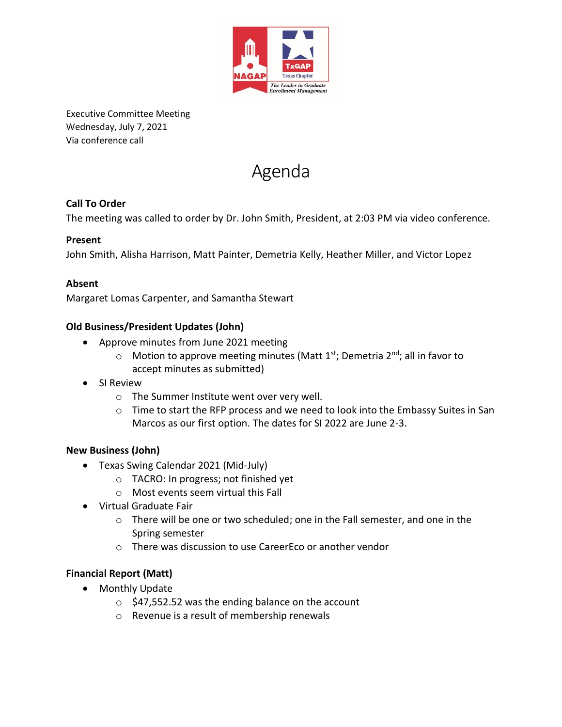

Executive Committee Meeting Wednesday, July 7, 2021 Via conference call



## **Call To Order**

The meeting was called to order by Dr. John Smith, President, at 2:03 PM via video conference.

### **Present**

John Smith, Alisha Harrison, Matt Painter, Demetria Kelly, Heather Miller, and Victor Lopez

### **Absent**

Margaret Lomas Carpenter, and Samantha Stewart

### **Old Business/President Updates (John)**

- Approve minutes from June 2021 meeting
	- $\circ$  Motion to approve meeting minutes (Matt 1<sup>st</sup>; Demetria 2<sup>nd</sup>; all in favor to accept minutes as submitted)
- SI Review
	- o The Summer Institute went over very well.
	- $\circ$  Time to start the RFP process and we need to look into the Embassy Suites in San Marcos as our first option. The dates for SI 2022 are June 2-3.

#### **New Business (John)**

- Texas Swing Calendar 2021 (Mid-July)
	- o TACRO: In progress; not finished yet
	- o Most events seem virtual this Fall
- Virtual Graduate Fair
	- o There will be one or two scheduled; one in the Fall semester, and one in the Spring semester
	- o There was discussion to use CareerEco or another vendor

#### **Financial Report (Matt)**

- Monthly Update
	- $\circ$  \$47,552.52 was the ending balance on the account
	- o Revenue is a result of membership renewals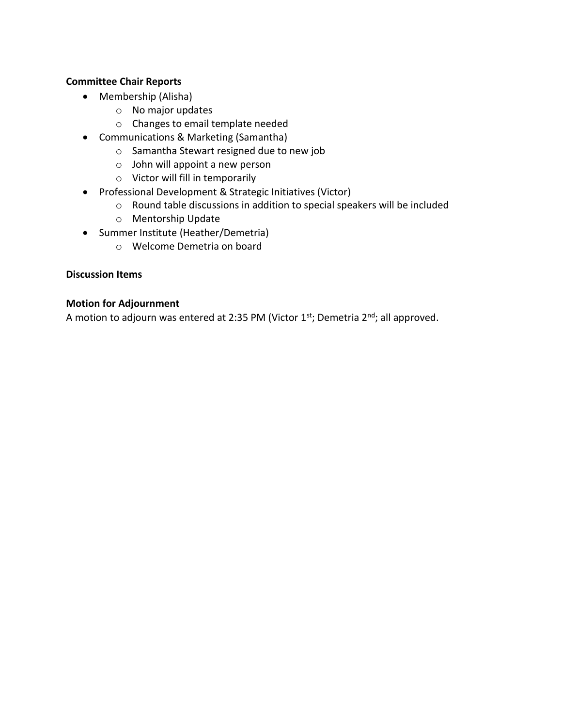## **Committee Chair Reports**

- Membership (Alisha)
	- o No major updates
	- o Changes to email template needed
- Communications & Marketing (Samantha)
	- o Samantha Stewart resigned due to new job
	- o John will appoint a new person
	- o Victor will fill in temporarily
- Professional Development & Strategic Initiatives (Victor)
	- o Round table discussions in addition to special speakers will be included
	- o Mentorship Update
- Summer Institute (Heather/Demetria)
	- o Welcome Demetria on board

### **Discussion Items**

#### **Motion for Adjournment**

A motion to adjourn was entered at 2:35 PM (Victor 1st; Demetria 2nd; all approved.